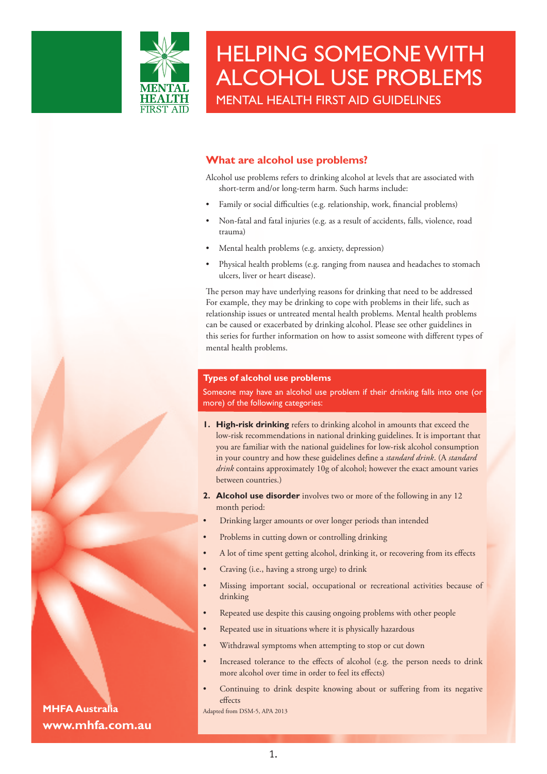

# **What are alcohol use problems?**

Alcohol use problems refers to drinking alcohol at levels that are associated with short-term and/or long-term harm. Such harms include:

- Family or social difficulties (e.g. relationship, work, financial problems)
- Non-fatal and fatal injuries (e.g. as a result of accidents, falls, violence, road trauma)
- Mental health problems (e.g. anxiety, depression)
- Physical health problems (e.g. ranging from nausea and headaches to stomach ulcers, liver or heart disease).

The person may have underlying reasons for drinking that need to be addressed For example, they may be drinking to cope with problems in their life, such as relationship issues or untreated mental health problems. Mental health problems can be caused or exacerbated by drinking alcohol. Please see other guidelines in this series for further information on how to assist someone with different types of mental health problems.

#### **Types of alcohol use problems**

Someone may have an alcohol use problem if their drinking falls into one (or more) of the following categories:

- **1. High-risk drinking** refers to drinking alcohol in amounts that exceed the low-risk recommendations in national drinking guidelines. It is important that you are familiar with the national guidelines for low-risk alcohol consumption in your country and how these guidelines define a *standard drink*. (A *standard drink* contains approximately 10g of alcohol; however the exact amount varies between countries.)
- **2. Alcohol use disorder** involves two or more of the following in any 12 month period:
- Drinking larger amounts or over longer periods than intended
- Problems in cutting down or controlling drinking
- A lot of time spent getting alcohol, drinking it, or recovering from its effects
- Craving (i.e., having a strong urge) to drink
- Missing important social, occupational or recreational activities because of drinking
- Repeated use despite this causing ongoing problems with other people
- Repeated use in situations where it is physically hazardous
- Withdrawal symptoms when attempting to stop or cut down
- Increased tolerance to the effects of alcohol (e.g. the person needs to drink more alcohol over time in order to feel its effects)
- Continuing to drink despite knowing about or suffering from its negative effects

**MHFA Australia** Adapted from DSM-5, APA 2013 **www.mhfa.com.au**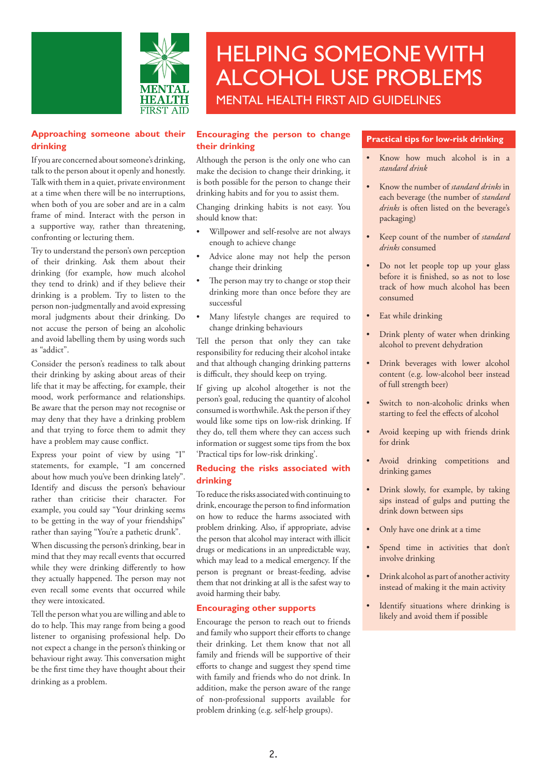

### **Approaching someone about their drinking**

If you are concerned about someone's drinking, talk to the person about it openly and honestly. Talk with them in a quiet, private environment at a time when there will be no interruptions, when both of you are sober and are in a calm frame of mind. Interact with the person in a supportive way, rather than threatening, confronting or lecturing them.

Try to understand the person's own perception of their drinking. Ask them about their drinking (for example, how much alcohol they tend to drink) and if they believe their drinking is a problem. Try to listen to the person non-judgmentally and avoid expressing moral judgments about their drinking. Do not accuse the person of being an alcoholic and avoid labelling them by using words such as "addict".

Consider the person's readiness to talk about their drinking by asking about areas of their life that it may be affecting, for example, their mood, work performance and relationships. Be aware that the person may not recognise or may deny that they have a drinking problem and that trying to force them to admit they have a problem may cause conflict.

Express your point of view by using "I" statements, for example, "I am concerned about how much you've been drinking lately". Identify and discuss the person's behaviour rather than criticise their character. For example, you could say "Your drinking seems to be getting in the way of your friendships" rather than saying "You're a pathetic drunk".

When discussing the person's drinking, bear in mind that they may recall events that occurred while they were drinking differently to how they actually happened. The person may not even recall some events that occurred while they were intoxicated.

Tell the person what you are willing and ableto do to help. This may range from being a good listener to organising professional help. Do not expect a change in the person's thinking or behaviour right away. This conversation might be the first time they have thought about their drinking as a problem.

### **Encouraging the person to change their drinking**

Although the person is the only one who can make the decision to change their drinking, it is both possible for the person to change their drinking habits and for you to assist them.

Changing drinking habits is not easy. You should know that:

- Willpower and self-resolve are not always enough to achieve change
- Advice alone may not help the person change their drinking
- The person may try to change or stop their drinking more than once before they are successful
- Many lifestyle changes are required to change drinking behaviours

Tell the person that only they can take responsibility for reducing their alcohol intake and that although changing drinking patterns is difficult, they should keep on trying.

If giving up alcohol altogether is not the person's goal, reducing the quantity of alcohol consumed isworthwhile.Ask the person if they would like some tips on low-risk drinking. If they do, tell them where they can access such information or suggest some tips from the box 'Practical tips for low-risk drinking'.

#### **Reducing the risks associated with drinking**

To reduce the risks associated with continuing to drink, encourage the person to find information on how to reduce the harms associated with problem drinking. Also, if appropriate, advise the person that alcohol may interact with illicit drugs or medications in an unpredictable way, which may lead to a medical emergency. If the person is pregnant or breast-feeding, advise them that not drinking at all is the safest way to avoid harming their baby.

# **Encouraging other supports**

Encourage the person to reach out to friends and family who support their efforts to change their drinking. Let them know that not all family and friends will be supportive of their efforts to change and suggest they spend time with family and friends who do not drink. In addition, make the person aware of the range of non-professional supports available for problem drinking (e.g. self-help groups).

#### **Practical tips for low-risk drinking**

- • Know how much alcohol is in a *standard drink*
- Know the number of *standard drinks* in each beverage (the number of *standard drinks* is often listed on the beverage's packaging)
- Keep count of the number of *standard drinks* consumed
- Do not let people top up your glass before it is finished, so as not to lose track of how much alcohol has been consumed
- • Eat while drinking
- Drink plenty of water when drinking alcohol to prevent dehydration
- • Drink beverages with lower alcohol content (e.g. low-alcohol beer instead of full strength beer)
- Switch to non-alcoholic drinks when starting to feel the effects of alcohol
- Avoid keeping up with friends drink for drink
- Avoid drinking competitions and drinking games
- Drink slowly, for example, by taking sips instead of gulps and putting the drink down between sips
- Only have one drink at a time
- Spend time in activities that don't involve drinking
- Drink alcohol as part of another activity instead of making it the main activity
- • Identify situations where drinking is likely and avoid them if possible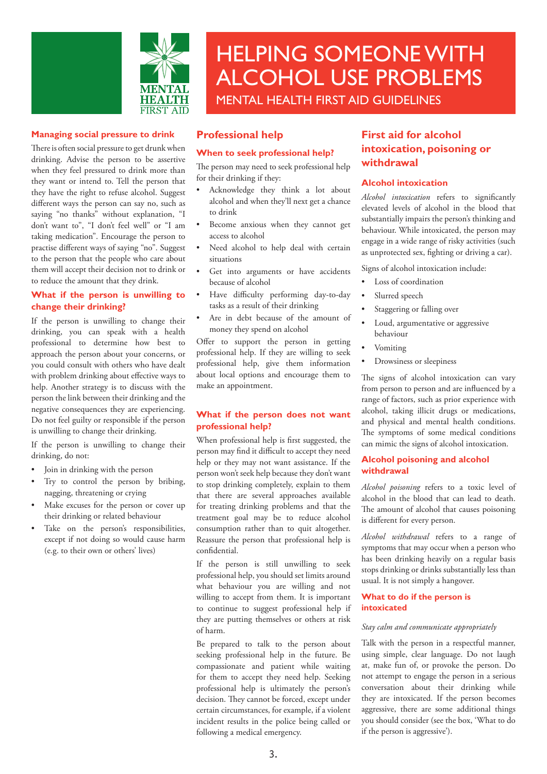

#### **Managing social pressure to drink**

There is often social pressure to get drunk when drinking. Advise the person to be assertive when they feel pressured to drink more than they want or intend to. Tell the person that they have the right to refuse alcohol. Suggest different ways the person can say no, such as saying "no thanks" without explanation, "I don't want to", "I don't feel well" or "I am taking medication". Encourage the person to practise different ways of saying "no". Suggest to the person that the people who care about them will accept their decision not to drink or to reduce the amount that they drink.

# **What if the person is unwilling to change their drinking?**

If the person is unwilling to change their drinking, you can speak with a health professional to determine how best to approach the person about your concerns, or you could consult with others who have dealt with problem drinking about effective ways to help. Another strategy is to discuss with the person the link between their drinking and the negative consequences they are experiencing. Do not feel guilty or responsible if the person is unwilling to change their drinking.

If the person is unwilling to change their drinking, do not:

- Join in drinking with the person
- Try to control the person by bribing, nagging, threatening or crying
- Make excuses for the person or cover up their drinking or related behaviour
- Take on the person's responsibilities, except if not doing so would cause harm (e.g. to their own or others' lives)

# **Professional help**

#### **When to seek professional help?**

The person may need to seek professional help for their drinking if they:

- Acknowledge they think a lot about alcohol and when they'll next get a chance to drink
- Become anxious when they cannot get access to alcohol
- Need alcohol to help deal with certain situations
- Get into arguments or have accidents because of alcohol
- Have difficulty performing day-to-day tasks as a result of their drinking
- Are in debt because of the amount of money they spend on alcohol

Offer to support the person in getting professional help. If they are willing to seek professional help, give them information about local options and encourage them to make an appointment.

# **What if the person does not want professional help?**

When professional help is first suggested, the person may find it difficult to accept they need help or they may not want assistance. If the person won't seek help because they don't want to stop drinking completely, explain to them that there are several approaches available for treating drinking problems and that the treatment goal may be to reduce alcohol consumption rather than to quit altogether. Reassure the person that professional help is confidential.

If the person is still unwilling to seek professional help, you should set limits around what behaviour you are willing and not willing to accept from them. It is important to continue to suggest professional help if they are putting themselves or others at risk of harm.

Be prepared to talk to the person about seeking professional help in the future. Be compassionate and patient while waiting for them to accept they need help. Seeking professional help is ultimately the person's decision. They cannot be forced, except under certain circumstances, for example, if a violent incident results in the police being called or following a medical emergency.

# **First aid for alcohol intoxication, poisoning or withdrawal**

# **Alcohol intoxication**

*Alcohol intoxication* refers to significantly elevated levels of alcohol in the blood that substantially impairs the person's thinking and behaviour. While intoxicated, the person may engage in a wide range of risky activities (such as unprotected sex, fighting or driving a car).

Signs of alcohol intoxication include:

- Loss of coordination
- Slurred speech
- Staggering or falling over
- Loud, argumentative or aggressive behaviour
- **Vomiting**
- Drowsiness or sleepiness

The signs of alcohol intoxication can vary from person to person and are influenced by a range of factors, such as prior experience with alcohol, taking illicit drugs or medications, and physical and mental health conditions. The symptoms of some medical conditions can mimic the signs of alcohol intoxication.

#### **Alcohol poisoning and alcohol withdrawal**

*Alcohol poisoning* refers to a toxic level of alcohol in the blood that can lead to death. The amount of alcohol that causes poisoning is different for every person.

*Alcohol withdrawal* refers to a range of symptoms that may occur when a person who has been drinking heavily on a regular basis stops drinking or drinks substantially less than usual. It is not simply a hangover.

#### **What to do if the person is intoxicated**

#### *Stay calm and communicate appropriately*

Talk with the person in a respectful manner, using simple, clear language. Do not laugh at, make fun of, or provoke the person. Do not attempt to engage the person in a serious conversation about their drinking while they are intoxicated. If the person becomes aggressive, there are some additional things you should consider (see the box, 'What to do if the person is aggressive').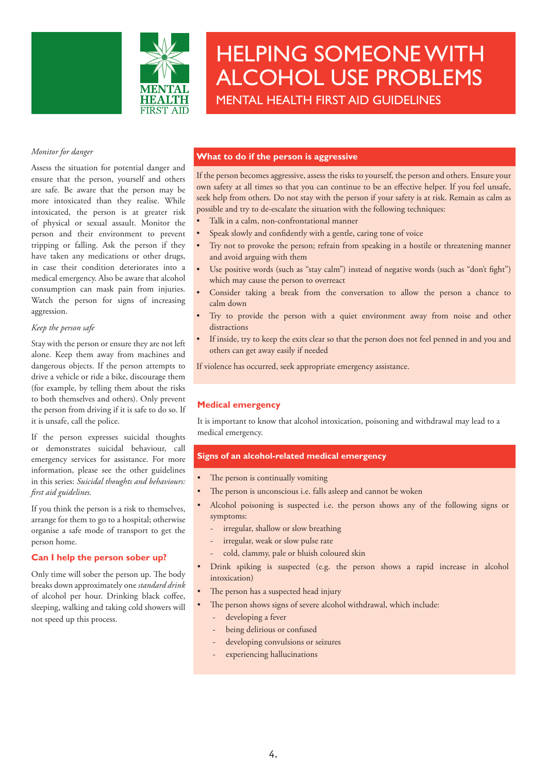

*Monitor for danger*

Assess the situation for potential danger and ensure that the person, yourself and others are safe. Be aware that the person may be more intoxicated than they realise. While intoxicated, the person is at greater risk of physical or sexual assault. Monitor the person and their environment to prevent tripping or falling. Ask the person if they have taken any medications or other drugs, in case their condition deteriorates into a medical emergency. Also be aware that alcohol consumption can mask pain from injuries. Watch the person for signs of increasing aggression.

#### *Keep the person safe*

Stay with the person or ensure they are not left alone. Keep them away from machines and dangerous objects. If the person attempts to drive a vehicle or ride a bike, discourage them (for example, by telling them about the risks to both themselves and others). Only prevent the person from driving if it is safe to do so. If it is unsafe, call the police.

If the person expresses suicidal thoughts or demonstrates suicidal behaviour, call emergency services for assistance. For more information, please see the other guidelines in this series: *Suicidal thoughts and behaviours: first aid guidelines.*

If you think the person is a risk to themselves, arrange for them to go to a hospital; otherwise organise a safe mode of transport to get the person home.

# **Can I help the person sober up?**

Only time will sober the person up. The body breaks down approximately one *standard drink* of alcohol per hour. Drinking black coffee, sleeping, walking and taking cold showers will not speed up this process.

# **What to do if the person is aggressive**

If the person becomes aggressive, assess the risks to yourself, the person and others. Ensure your own safety at all times so that you can continue to be an effective helper. If you feel unsafe, seek help from others. Do not stay with the person if your safety is at risk. Remain as calm as possible and try to de-escalate the situation with the following techniques:

- Talk in a calm, non-confrontational manner
- Speak slowly and confidently with a gentle, caring tone of voice
- Try not to provoke the person; refrain from speaking in a hostile or threatening manner and avoid arguing with them
- Use positive words (such as "stay calm") instead of negative words (such as "don't fight") which may cause the person to overreact
- Consider taking a break from the conversation to allow the person a chance to calm down
- Try to provide the person with a quiet environment away from noise and other distractions
- If inside, try to keep the exits clear so that the person does not feel penned in and you and others can get away easily if needed

If violence has occurred, seek appropriate emergency assistance.

# **Medical emergency**

It is important to know that alcohol intoxication, poisoning and withdrawal may lead to a medical emergency.

#### **Signs of an alcohol-related medical emergency**

- The person is continually vomiting
- The person is unconscious i.e. falls asleep and cannot be woken
- Alcohol poisoning is suspected i.e. the person shows any of the following signs or symptoms:
	- irregular, shallow or slow breathing
	- irregular, weak or slow pulse rate
	- cold, clammy, pale or bluish coloured skin
- Drink spiking is suspected (e.g. the person shows a rapid increase in alcohol intoxication)
- The person has a suspected head injury
- The person shows signs of severe alcohol withdrawal, which include:
	- developing a fever
	- being delirious or confused
	- developing convulsions or seizures
	- experiencing hallucinations